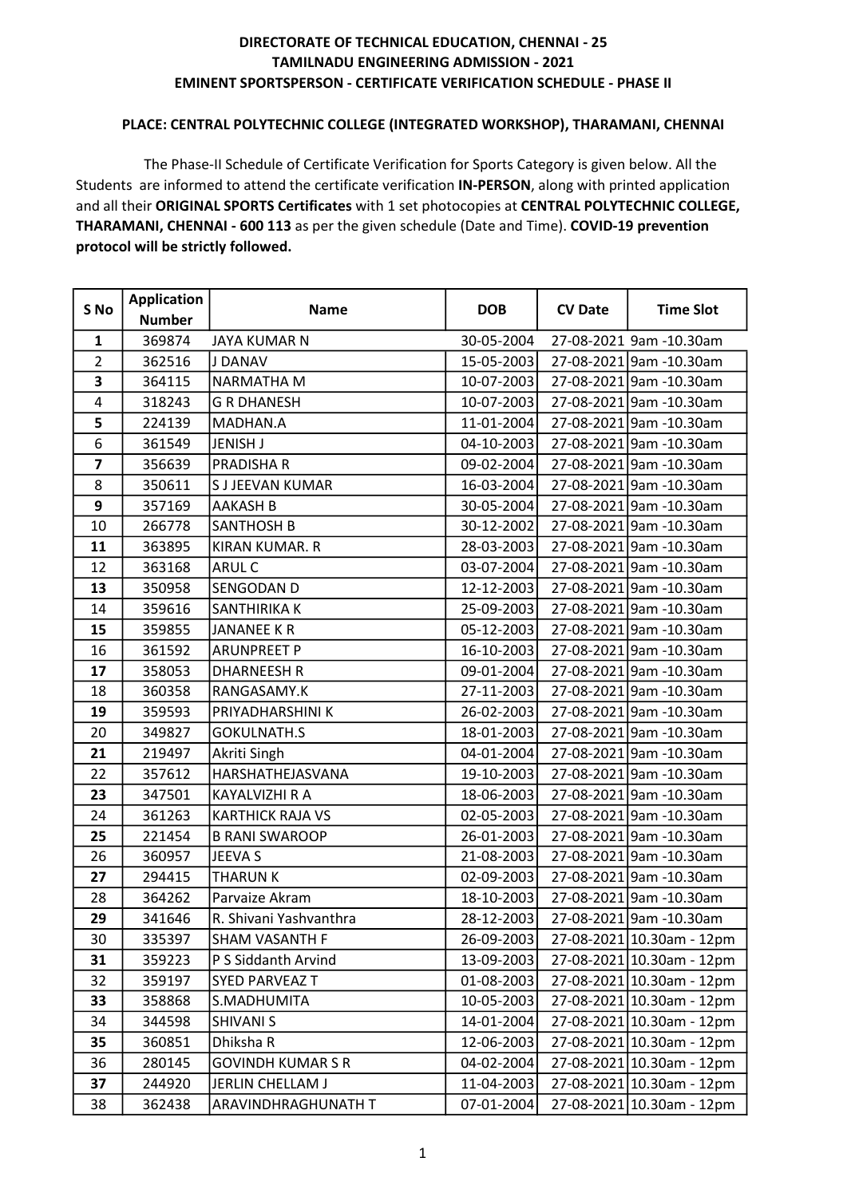#### PLACE: CENTRAL POLYTECHNIC COLLEGE (INTEGRATED WORKSHOP), THARAMANI, CHENNAI

 The Phase-II Schedule of Certificate Verification for Sports Category is given below. All the Students are informed to attend the certificate verification IN-PERSON, along with printed application and all their ORIGINAL SPORTS Certificates with 1 set photocopies at CENTRAL POLYTECHNIC COLLEGE, THARAMANI, CHENNAI - 600 113 as per the given schedule (Date and Time). COVID-19 prevention protocol will be strictly followed.

| S No           | <b>Application</b> | <b>Name</b>              |            | <b>CV Date</b> | <b>Time Slot</b>          |
|----------------|--------------------|--------------------------|------------|----------------|---------------------------|
|                | <b>Number</b>      |                          | <b>DOB</b> |                |                           |
| $\mathbf{1}$   | 369874             | JAYA KUMAR N             | 30-05-2004 |                | 27-08-2021 9am -10.30am   |
| $\overline{2}$ | 362516             | J DANAV                  | 15-05-2003 |                | 27-08-2021 9am -10.30am   |
| 3              | 364115             | NARMATHA M               | 10-07-2003 |                | 27-08-2021 9am -10.30am   |
| 4              | 318243             | <b>G R DHANESH</b>       | 10-07-2003 |                | 27-08-2021 9am -10.30am   |
| 5              | 224139             | MADHAN.A                 | 11-01-2004 |                | 27-08-2021 9am -10.30am   |
| 6              | 361549             | <b>JENISH J</b>          | 04-10-2003 |                | 27-08-2021 9am -10.30am   |
| $\overline{7}$ | 356639             | <b>PRADISHAR</b>         | 09-02-2004 |                | 27-08-2021 9am -10.30am   |
| 8              | 350611             | S J JEEVAN KUMAR         | 16-03-2004 |                | 27-08-2021 9am -10.30am   |
| 9              | 357169             | <b>AAKASH B</b>          | 30-05-2004 |                | 27-08-2021 9am -10.30am   |
| 10             | 266778             | <b>SANTHOSH B</b>        | 30-12-2002 |                | 27-08-2021 9am -10.30am   |
| 11             | 363895             | <b>KIRAN KUMAR. R</b>    | 28-03-2003 |                | 27-08-2021 9am -10.30am   |
| 12             | 363168             | <b>ARUL C</b>            | 03-07-2004 |                | 27-08-2021 9am -10.30am   |
| 13             | 350958             | <b>SENGODAN D</b>        | 12-12-2003 |                | 27-08-2021 9am -10.30am   |
| 14             | 359616             | <b>SANTHIRIKA K</b>      | 25-09-2003 |                | 27-08-2021 9am -10.30am   |
| 15             | 359855             | JANANEE KR               | 05-12-2003 |                | 27-08-2021 9am -10.30am   |
| 16             | 361592             | <b>ARUNPREET P</b>       | 16-10-2003 |                | 27-08-2021 9am -10.30am   |
| 17             | 358053             | <b>DHARNEESH R</b>       | 09-01-2004 |                | 27-08-2021 9am -10.30am   |
| 18             | 360358             | RANGASAMY.K              | 27-11-2003 |                | 27-08-2021 9am -10.30am   |
| 19             | 359593             | PRIYADHARSHINI K         | 26-02-2003 |                | 27-08-2021 9am -10.30am   |
| 20             | 349827             | <b>GOKULNATH.S</b>       | 18-01-2003 |                | 27-08-2021 9am -10.30am   |
| 21             | 219497             | Akriti Singh             | 04-01-2004 |                | 27-08-2021 9am -10.30am   |
| 22             | 357612             | HARSHATHEJASVANA         | 19-10-2003 |                | 27-08-2021 9am -10.30am   |
| 23             | 347501             | KAYALVIZHI R A           | 18-06-2003 |                | 27-08-2021 9am -10.30am   |
| 24             | 361263             | <b>KARTHICK RAJA VS</b>  | 02-05-2003 |                | 27-08-2021 9am -10.30am   |
| 25             | 221454             | <b>B RANI SWAROOP</b>    | 26-01-2003 |                | 27-08-2021 9am -10.30am   |
| 26             | 360957             | JEEVA S                  | 21-08-2003 |                | 27-08-2021 9am -10.30am   |
| 27             | 294415             | <b>THARUN K</b>          | 02-09-2003 |                | 27-08-2021 9am -10.30am   |
| 28             | 364262             | Parvaize Akram           | 18-10-2003 |                | 27-08-2021 9am -10.30am   |
| 29             | 341646             | R. Shivani Yashvanthra   | 28-12-2003 |                | 27-08-2021 9am -10.30am   |
| 30             | 335397             | <b>SHAM VASANTH F</b>    | 26-09-2003 |                | 27-08-2021 10.30am - 12pm |
| 31             | 359223             | P S Siddanth Arvind      | 13-09-2003 |                | 27-08-2021 10.30am - 12pm |
| 32             | 359197             | <b>SYED PARVEAZ T</b>    | 01-08-2003 |                | 27-08-2021 10.30am - 12pm |
| 33             | 358868             | S.MADHUMITA              | 10-05-2003 |                | 27-08-2021 10.30am - 12pm |
| 34             | 344598             | <b>SHIVANI S</b>         | 14-01-2004 |                | 27-08-2021 10.30am - 12pm |
| 35             | 360851             | Dhiksha R                | 12-06-2003 |                | 27-08-2021 10.30am - 12pm |
| 36             | 280145             | <b>GOVINDH KUMAR S R</b> | 04-02-2004 |                | 27-08-2021 10.30am - 12pm |
| 37             | 244920             | JERLIN CHELLAM J         | 11-04-2003 |                | 27-08-2021 10.30am - 12pm |
| 38             | 362438             | ARAVINDHRAGHUNATH T      | 07-01-2004 |                | 27-08-2021 10.30am - 12pm |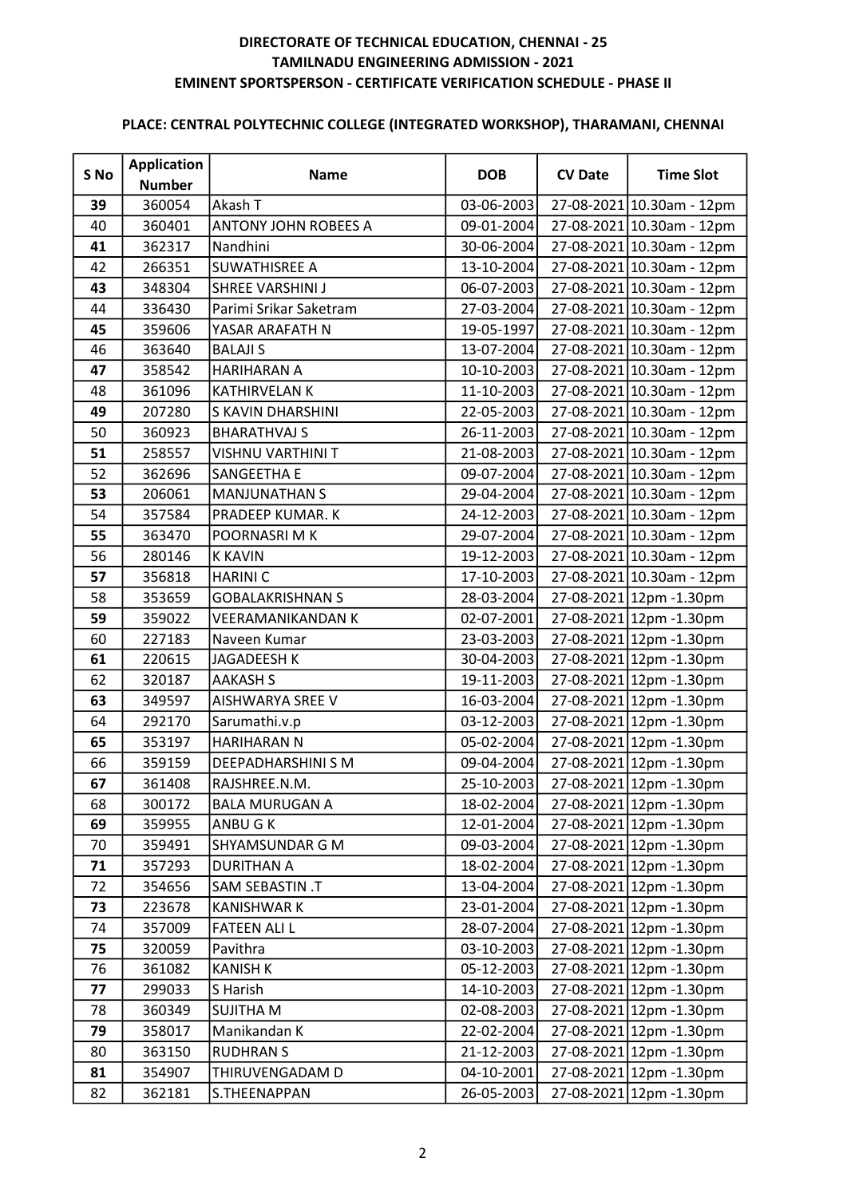| S No | <b>Application</b> | <b>Name</b>             | <b>DOB</b> | <b>CV Date</b> | <b>Time Slot</b>          |
|------|--------------------|-------------------------|------------|----------------|---------------------------|
|      | <b>Number</b>      |                         |            |                |                           |
| 39   | 360054             | Akash T                 | 03-06-2003 |                | 27-08-2021 10.30am - 12pm |
| 40   | 360401             | ANTONY JOHN ROBEES A    | 09-01-2004 |                | 27-08-2021 10.30am - 12pm |
| 41   | 362317             | Nandhini                | 30-06-2004 |                | 27-08-2021 10.30am - 12pm |
| 42   | 266351             | <b>SUWATHISREE A</b>    | 13-10-2004 |                | 27-08-2021 10.30am - 12pm |
| 43   | 348304             | SHREE VARSHINI J        | 06-07-2003 |                | 27-08-2021 10.30am - 12pm |
| 44   | 336430             | Parimi Srikar Saketram  | 27-03-2004 |                | 27-08-2021 10.30am - 12pm |
| 45   | 359606             | YASAR ARAFATH N         | 19-05-1997 |                | 27-08-2021 10.30am - 12pm |
| 46   | 363640             | <b>BALAJI S</b>         | 13-07-2004 |                | 27-08-2021 10.30am - 12pm |
| 47   | 358542             | <b>HARIHARAN A</b>      | 10-10-2003 |                | 27-08-2021 10.30am - 12pm |
| 48   | 361096             | <b>KATHIRVELAN K</b>    | 11-10-2003 |                | 27-08-2021 10.30am - 12pm |
| 49   | 207280             | S KAVIN DHARSHINI       | 22-05-2003 |                | 27-08-2021 10.30am - 12pm |
| 50   | 360923             | <b>BHARATHVAJ S</b>     | 26-11-2003 |                | 27-08-2021 10.30am - 12pm |
| 51   | 258557             | VISHNU VARTHINI T       | 21-08-2003 |                | 27-08-2021 10.30am - 12pm |
| 52   | 362696             | SANGEETHA E             | 09-07-2004 |                | 27-08-2021 10.30am - 12pm |
| 53   | 206061             | <b>MANJUNATHAN S</b>    | 29-04-2004 |                | 27-08-2021 10.30am - 12pm |
| 54   | 357584             | PRADEEP KUMAR. K        | 24-12-2003 |                | 27-08-2021 10.30am - 12pm |
| 55   | 363470             | POORNASRIMK             | 29-07-2004 |                | 27-08-2021 10.30am - 12pm |
| 56   | 280146             | <b>K KAVIN</b>          | 19-12-2003 |                | 27-08-2021 10.30am - 12pm |
| 57   | 356818             | <b>HARINIC</b>          | 17-10-2003 |                | 27-08-2021 10.30am - 12pm |
| 58   | 353659             | <b>GOBALAKRISHNAN S</b> | 28-03-2004 |                | 27-08-2021 12pm - 1.30pm  |
| 59   | 359022             | VEERAMANIKANDAN K       | 02-07-2001 |                | 27-08-2021 12pm - 1.30pm  |
| 60   | 227183             | Naveen Kumar            | 23-03-2003 |                | 27-08-2021 12pm - 1.30pm  |
| 61   | 220615             | JAGADEESH K             | 30-04-2003 |                | 27-08-2021 12pm - 1.30pm  |
| 62   | 320187             | <b>AAKASH S</b>         | 19-11-2003 |                | 27-08-2021 12pm - 1.30pm  |
| 63   | 349597             | <b>AISHWARYA SREE V</b> | 16-03-2004 |                | 27-08-2021 12pm -1.30pm   |
| 64   | 292170             | Sarumathi.v.p           | 03-12-2003 |                | 27-08-2021 12pm -1.30pm   |
| 65   | 353197             | <b>HARIHARAN N</b>      | 05-02-2004 |                | 27-08-2021 12pm - 1.30pm  |
| 66   | 359159             | DEEPADHARSHINI S M      | 09-04-2004 |                | 27-08-2021 12pm - 1.30pm  |
| 67   | 361408             | RAJSHREE.N.M.           | 25-10-2003 |                | 27-08-2021 12pm -1.30pm   |
| 68   | 300172             | <b>BALA MURUGAN A</b>   | 18-02-2004 |                | 27-08-2021 12pm - 1.30pm  |
| 69   | 359955             | ANBU G K                | 12-01-2004 |                | 27-08-2021 12pm - 1.30pm  |
| 70   | 359491             | SHYAMSUNDAR G M         | 09-03-2004 |                | 27-08-2021 12pm -1.30pm   |
| 71   | 357293             | <b>DURITHAN A</b>       | 18-02-2004 |                | 27-08-2021 12pm - 1.30pm  |
| 72   | 354656             | <b>SAM SEBASTIN .T</b>  | 13-04-2004 |                | 27-08-2021 12pm -1.30pm   |
| 73   | 223678             | <b>KANISHWAR K</b>      | 23-01-2004 |                | 27-08-2021 12pm - 1.30pm  |
| 74   | 357009             | <b>FATEEN ALI L</b>     | 28-07-2004 |                | 27-08-2021 12pm -1.30pm   |
| 75   | 320059             | Pavithra                | 03-10-2003 |                | 27-08-2021 12pm - 1.30pm  |
| 76   | 361082             | <b>KANISH K</b>         | 05-12-2003 |                | 27-08-2021 12pm - 1.30pm  |
| 77   | 299033             | S Harish                | 14-10-2003 |                | 27-08-2021 12pm - 1.30pm  |
| 78   | 360349             | <b>SUJITHA M</b>        | 02-08-2003 |                | 27-08-2021 12pm - 1.30pm  |
| 79   | 358017             | Manikandan K            | 22-02-2004 |                | 27-08-2021 12pm - 1.30pm  |
| 80   | 363150             | <b>RUDHRAN S</b>        | 21-12-2003 |                | 27-08-2021 12pm - 1.30pm  |
| 81   | 354907             | THIRUVENGADAM D         | 04-10-2001 |                | 27-08-2021 12pm - 1.30pm  |
| 82   | 362181             | S.THEENAPPAN            | 26-05-2003 |                | 27-08-2021 12pm - 1.30pm  |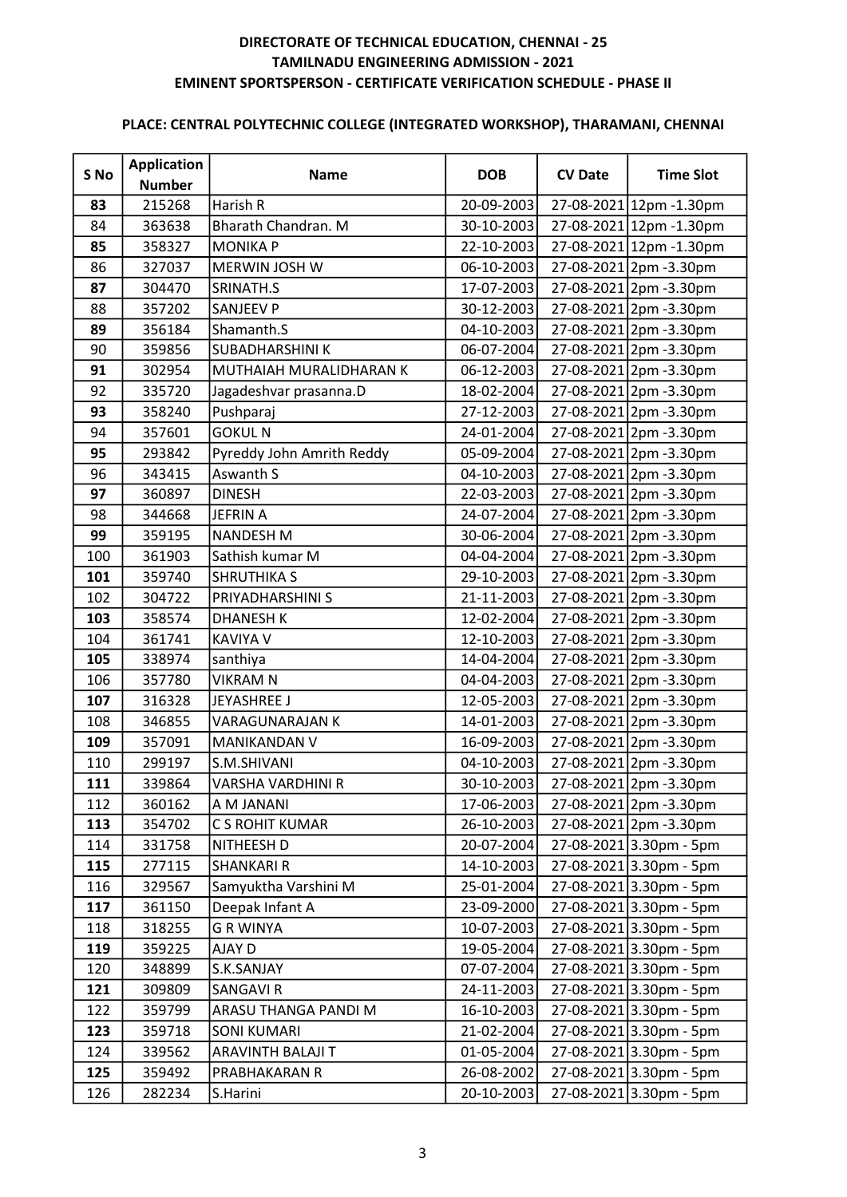| S No | <b>Application</b><br><b>Number</b> | <b>Name</b>               | <b>DOB</b>       | <b>CV Date</b> | <b>Time Slot</b>              |
|------|-------------------------------------|---------------------------|------------------|----------------|-------------------------------|
| 83   | 215268                              | Harish R                  | 20-09-2003       |                | 27-08-2021 12pm - 1.30pm      |
| 84   | 363638                              | Bharath Chandran. M       | 30-10-2003       |                | 27-08-2021 12pm - 1.30pm      |
| 85   | 358327                              | <b>MONIKA P</b>           | 22-10-2003       |                | 27-08-2021 12pm - 1.30pm      |
| 86   | 327037                              | MERWIN JOSH W             | 06-10-2003       |                | 27-08-2021 2pm -3.30pm        |
| 87   | 304470                              | SRINATH.S                 | 17-07-2003       |                | 27-08-2021 2pm -3.30pm        |
| 88   | 357202                              | <b>SANJEEV P</b>          | 30-12-2003       |                | 27-08-2021 2pm -3.30pm        |
| 89   | 356184                              | Shamanth.S                | 04-10-2003       |                | 27-08-2021 2pm -3.30pm        |
| 90   | 359856                              | <b>SUBADHARSHINI K</b>    | 06-07-2004       |                | 27-08-2021 2pm -3.30pm        |
| 91   | 302954                              | MUTHAIAH MURALIDHARAN K   | 06-12-2003       |                | 27-08-2021 2pm -3.30pm        |
| 92   | 335720                              | Jagadeshvar prasanna.D    | 18-02-2004       |                | 27-08-2021 2pm -3.30pm        |
| 93   | 358240                              | Pushparaj                 | 27-12-2003       |                | 27-08-2021 2pm -3.30pm        |
| 94   | 357601                              | <b>GOKUL N</b>            | 24-01-2004       |                | 27-08-2021 2pm -3.30pm        |
| 95   | 293842                              | Pyreddy John Amrith Reddy | 05-09-2004       |                | 27-08-2021 2pm -3.30pm        |
| 96   | 343415                              | Aswanth S                 | 04-10-2003       |                | 27-08-2021 2pm -3.30pm        |
| 97   | 360897                              | <b>DINESH</b>             | 22-03-2003       |                | 27-08-2021 2pm -3.30pm        |
| 98   | 344668                              | <b>JEFRIN A</b>           | 24-07-2004       |                | 27-08-2021 2pm -3.30pm        |
| 99   | 359195                              | <b>NANDESH M</b>          | 30-06-2004       |                | 27-08-2021 2pm -3.30pm        |
| 100  | 361903                              | Sathish kumar M           | 04-04-2004       |                | 27-08-2021 2pm -3.30pm        |
| 101  | 359740                              | <b>SHRUTHIKA S</b>        | 29-10-2003       |                | 27-08-2021 2pm -3.30pm        |
| 102  | 304722                              | PRIYADHARSHINI S          | 21-11-2003       |                | 27-08-2021 2pm - 3.30pm       |
| 103  | 358574                              | <b>DHANESH K</b>          | 12-02-2004       |                | 27-08-2021 2pm -3.30pm        |
| 104  | 361741                              | <b>KAVIYA V</b>           | 12-10-2003       |                | 27-08-2021 2pm -3.30pm        |
| 105  | 338974                              | santhiya                  | 14-04-2004       |                | 27-08-2021 2pm -3.30pm        |
| 106  | 357780                              | <b>VIKRAM N</b>           | 04-04-2003       |                | 27-08-2021 2pm -3.30pm        |
| 107  | 316328                              | <b>JEYASHREE J</b>        | 12-05-2003       |                | 27-08-2021 2pm -3.30pm        |
| 108  | 346855                              | VARAGUNARAJAN K           | 14-01-2003       |                | 27-08-2021 2pm -3.30pm        |
| 109  | 357091                              | MANIKANDAN V              | 16-09-2003       |                | 27-08-2021 2pm -3.30pm        |
| 110  | 299197                              | S.M.SHIVANI               | 04-10-2003       |                | 27-08-2021 2pm -3.30pm        |
| 111  | 339864                              | <b>VARSHA VARDHINI R</b>  | 30-10-2003       |                | 27-08-2021 2pm -3.30pm        |
| 112  | 360162                              | A M JANANI                | 17-06-2003       |                | 27-08-2021 2pm -3.30pm        |
| 113  | 354702                              | C S ROHIT KUMAR           | 26-10-2003       |                | 27-08-2021 2pm -3.30pm        |
| 114  | 331758                              | NITHEESH D                | 20-07-2004       |                | 27-08-2021 3.30pm - 5pm       |
| 115  | 277115                              | <b>SHANKARI R</b>         | 14-10-2003       |                | $27 - 08 - 2021$ 3.30pm - 5pm |
| 116  | 329567                              | Samyuktha Varshini M      | 25-01-2004       |                | 27-08-2021 3.30pm - 5pm       |
| 117  | 361150                              | Deepak Infant A           | 23-09-2000       |                | 27-08-2021 3.30pm - 5pm       |
| 118  | 318255                              | <b>G R WINYA</b>          | 10-07-2003       |                | 27-08-2021 3.30pm - 5pm       |
| 119  | 359225                              | AJAY D                    | 19-05-2004       |                | $27 - 08 - 2021$ 3.30pm - 5pm |
| 120  | 348899                              | S.K.SANJAY                | 07-07-2004       |                | 27-08-2021 3.30pm - 5pm       |
| 121  | 309809                              | <b>SANGAVIR</b>           | 24-11-2003       |                | 27-08-2021 3.30pm - 5pm       |
| 122  | 359799                              | ARASU THANGA PANDI M      | 16-10-2003       |                | 27-08-2021 3.30pm - 5pm       |
| 123  | 359718                              | <b>SONI KUMARI</b>        | 21-02-2004       |                | 27-08-2021 3.30pm - 5pm       |
| 124  | 339562                              | ARAVINTH BALAJI T         | $01 - 05 - 2004$ |                | 27-08-2021 3.30pm - 5pm       |
| 125  | 359492                              | PRABHAKARAN R             | 26-08-2002       |                | 27-08-2021 3.30pm - 5pm       |
| 126  | 282234                              | S.Harini                  | 20-10-2003       |                | 27-08-2021 3.30pm - 5pm       |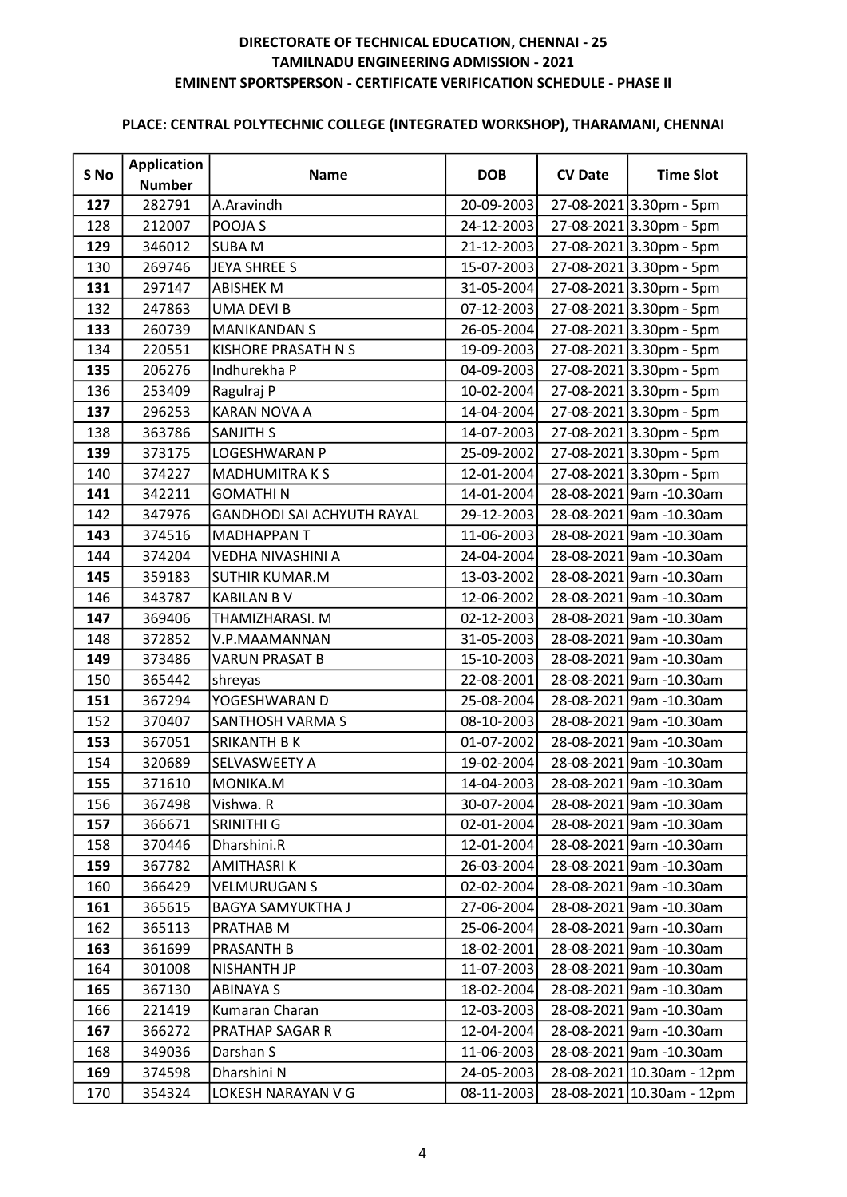| S No | <b>Application</b> | <b>Name</b>                       | <b>DOB</b>       | <b>CV Date</b> | <b>Time Slot</b>              |
|------|--------------------|-----------------------------------|------------------|----------------|-------------------------------|
|      | <b>Number</b>      |                                   |                  |                |                               |
| 127  | 282791             | A.Aravindh                        | 20-09-2003       |                | 27-08-2021 3.30pm - 5pm       |
| 128  | 212007             | POOJA S                           | 24-12-2003       |                | $27 - 08 - 2021$ 3.30pm - 5pm |
| 129  | 346012             | <b>SUBAM</b>                      | 21-12-2003       |                | 27-08-2021 3.30pm - 5pm       |
| 130  | 269746             | <b>JEYA SHREE S</b>               | 15-07-2003       |                | 27-08-2021 3.30pm - 5pm       |
| 131  | 297147             | <b>ABISHEK M</b>                  | 31-05-2004       |                | 27-08-2021 3.30pm - 5pm       |
| 132  | 247863             | <b>UMA DEVI B</b>                 | $07 - 12 - 2003$ |                | 27-08-2021 3.30pm - 5pm       |
| 133  | 260739             | <b>MANIKANDAN S</b>               | 26-05-2004       |                | 27-08-2021 3.30pm - 5pm       |
| 134  | 220551             | <b>KISHORE PRASATH N S</b>        | 19-09-2003       |                | $27 - 08 - 2021$ 3.30pm - 5pm |
| 135  | 206276             | Indhurekha P                      | 04-09-2003       |                | 27-08-2021 3.30pm - 5pm       |
| 136  | 253409             | Ragulraj P                        | 10-02-2004       |                | 27-08-2021 3.30pm - 5pm       |
| 137  | 296253             | <b>KARAN NOVA A</b>               | 14-04-2004       |                | 27-08-2021 3.30pm - 5pm       |
| 138  | 363786             | <b>SANJITH S</b>                  | 14-07-2003       |                | 27-08-2021 3.30pm - 5pm       |
| 139  | 373175             | <b>LOGESHWARAN P</b>              | 25-09-2002       |                | 27-08-2021 3.30pm - 5pm       |
| 140  | 374227             | <b>MADHUMITRAKS</b>               | 12-01-2004       |                | 27-08-2021 3.30pm - 5pm       |
| 141  | 342211             | <b>GOMATHIN</b>                   | 14-01-2004       |                | 28-08-2021 9am -10.30am       |
| 142  | 347976             | <b>GANDHODI SAI ACHYUTH RAYAL</b> | 29-12-2003       |                | 28-08-2021 9am -10.30am       |
| 143  | 374516             | <b>MADHAPPANT</b>                 | 11-06-2003       |                | 28-08-2021 9am -10.30am       |
| 144  | 374204             | <b>VEDHA NIVASHINI A</b>          | 24-04-2004       |                | 28-08-2021 9am -10.30am       |
| 145  | 359183             | SUTHIR KUMAR.M                    | 13-03-2002       |                | 28-08-2021 9am -10.30am       |
| 146  | 343787             | <b>KABILAN B V</b>                | 12-06-2002       |                | 28-08-2021 9am -10.30am       |
| 147  | 369406             | THAMIZHARASI. M                   | 02-12-2003       |                | 28-08-2021 9am -10.30am       |
| 148  | 372852             | V.P.MAAMANNAN                     | 31-05-2003       |                | 28-08-2021 9am -10.30am       |
| 149  | 373486             | <b>VARUN PRASAT B</b>             | 15-10-2003       |                | 28-08-2021 9am -10.30am       |
| 150  | 365442             | shreyas                           | 22-08-2001       |                | 28-08-2021 9am -10.30am       |
| 151  | 367294             | YOGESHWARAN D                     | 25-08-2004       |                | 28-08-2021 9am -10.30am       |
| 152  | 370407             | SANTHOSH VARMA S                  | 08-10-2003       |                | 28-08-2021 9am -10.30am       |
| 153  | 367051             | SRIKANTH B K                      | 01-07-2002       |                | 28-08-2021 9am -10.30am       |
| 154  | 320689             | SELVASWEETY A                     | 19-02-2004       |                | 28-08-2021 9am -10.30am       |
| 155  | 371610             | MONIKA.M                          | 14-04-2003       |                | 28-08-2021 9am -10.30am       |
| 156  | 367498             | Vishwa. R                         | 30-07-2004       |                | 28-08-2021 9am -10.30am       |
| 157  | 366671             | SRINITHI G                        | 02-01-2004       |                | 28-08-2021 9am -10.30am       |
| 158  | 370446             | Dharshini.R                       | 12-01-2004       |                | 28-08-2021 9am -10.30am       |
| 159  | 367782             | AMITHASRI K                       | 26-03-2004       |                | 28-08-2021 9am -10.30am       |
| 160  | 366429             | <b>VELMURUGAN S</b>               | 02-02-2004       |                | 28-08-2021 9am -10.30am       |
| 161  | 365615             | <b>BAGYA SAMYUKTHA J</b>          | 27-06-2004       |                | 28-08-2021 9am -10.30am       |
| 162  | 365113             | PRATHAB M                         | 25-06-2004       |                | 28-08-2021 9am -10.30am       |
| 163  | 361699             | PRASANTH B                        | 18-02-2001       |                | 28-08-2021 9am -10.30am       |
| 164  | 301008             | NISHANTH JP                       | 11-07-2003       |                | 28-08-2021 9am -10.30am       |
| 165  | 367130             | <b>ABINAYA S</b>                  | 18-02-2004       |                | 28-08-2021 9am -10.30am       |
| 166  | 221419             | Kumaran Charan                    | 12-03-2003       |                | 28-08-2021 9am -10.30am       |
| 167  | 366272             | PRATHAP SAGAR R                   | 12-04-2004       |                | 28-08-2021 9am -10.30am       |
| 168  | 349036             | Darshan S                         | 11-06-2003       |                | 28-08-2021 9am -10.30am       |
| 169  | 374598             | Dharshini N                       | 24-05-2003       |                | 28-08-2021 10.30am - 12pm     |
| 170  | 354324             | LOKESH NARAYAN V G                | 08-11-2003       |                | 28-08-2021 10.30am - 12pm     |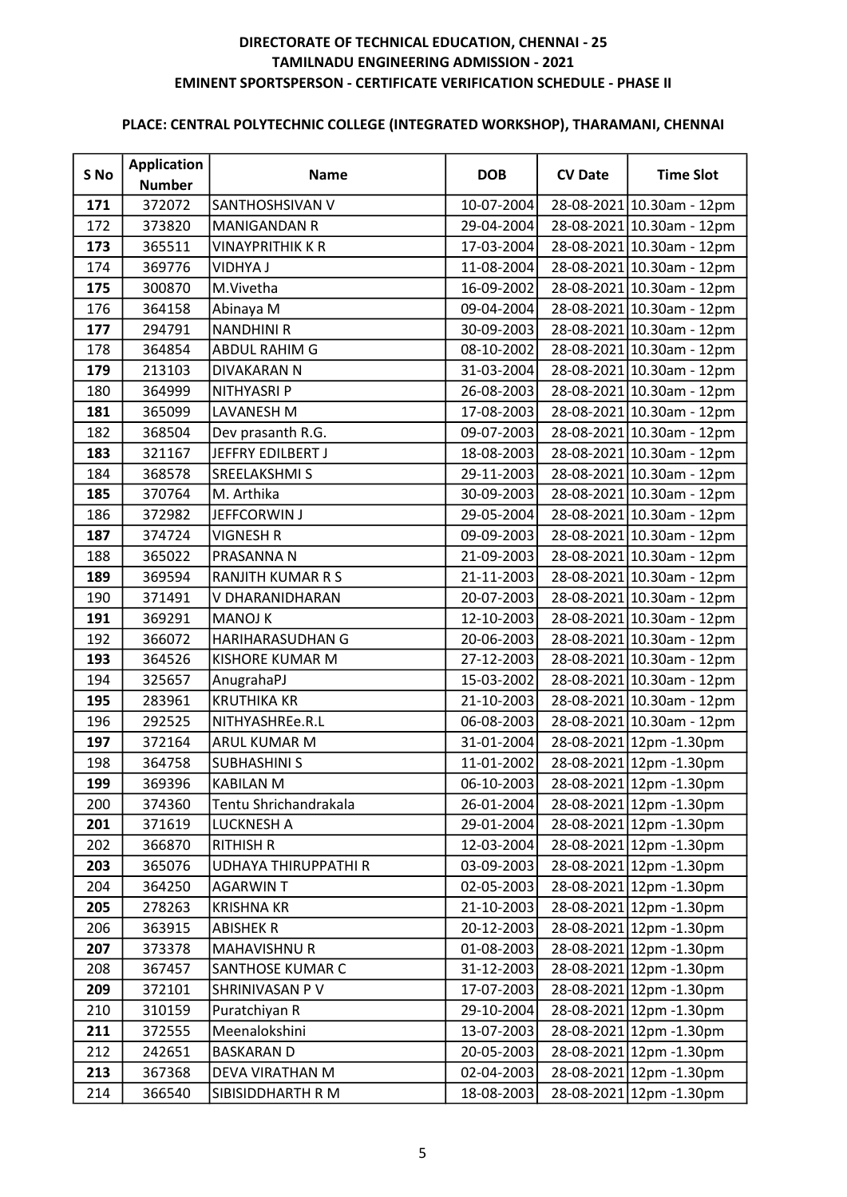| S No | <b>Application</b> | <b>Name</b>             | <b>DOB</b> | <b>CV Date</b> | <b>Time Slot</b>          |
|------|--------------------|-------------------------|------------|----------------|---------------------------|
|      | <b>Number</b>      |                         |            |                |                           |
| 171  | 372072             | SANTHOSHSIVAN V         | 10-07-2004 |                | 28-08-2021 10.30am - 12pm |
| 172  | 373820             | <b>MANIGANDAN R</b>     | 29-04-2004 |                | 28-08-2021 10.30am - 12pm |
| 173  | 365511             | <b>VINAYPRITHIK K R</b> | 17-03-2004 |                | 28-08-2021 10.30am - 12pm |
| 174  | 369776             | <b>VIDHYA J</b>         | 11-08-2004 |                | 28-08-2021 10.30am - 12pm |
| 175  | 300870             | M.Vivetha               | 16-09-2002 |                | 28-08-2021 10.30am - 12pm |
| 176  | 364158             | Abinaya M               | 09-04-2004 |                | 28-08-2021 10.30am - 12pm |
| 177  | 294791             | <b>NANDHINI R</b>       | 30-09-2003 |                | 28-08-2021 10.30am - 12pm |
| 178  | 364854             | ABDUL RAHIM G           | 08-10-2002 |                | 28-08-2021 10.30am - 12pm |
| 179  | 213103             | DIVAKARAN N             | 31-03-2004 |                | 28-08-2021 10.30am - 12pm |
| 180  | 364999             | NITHYASRI P             | 26-08-2003 |                | 28-08-2021 10.30am - 12pm |
| 181  | 365099             | <b>LAVANESH M</b>       | 17-08-2003 |                | 28-08-2021 10.30am - 12pm |
| 182  | 368504             | Dev prasanth R.G.       | 09-07-2003 |                | 28-08-2021 10.30am - 12pm |
| 183  | 321167             | JEFFRY EDILBERT J       | 18-08-2003 |                | 28-08-2021 10.30am - 12pm |
| 184  | 368578             | <b>SREELAKSHMI S</b>    | 29-11-2003 |                | 28-08-2021 10.30am - 12pm |
| 185  | 370764             | M. Arthika              | 30-09-2003 |                | 28-08-2021 10.30am - 12pm |
| 186  | 372982             | JEFFCORWIN J            | 29-05-2004 |                | 28-08-2021 10.30am - 12pm |
| 187  | 374724             | <b>VIGNESH R</b>        | 09-09-2003 |                | 28-08-2021 10.30am - 12pm |
| 188  | 365022             | PRASANNA N              | 21-09-2003 |                | 28-08-2021 10.30am - 12pm |
| 189  | 369594             | RANJITH KUMAR R S       | 21-11-2003 |                | 28-08-2021 10.30am - 12pm |
| 190  | 371491             | V DHARANIDHARAN         | 20-07-2003 |                | 28-08-2021 10.30am - 12pm |
| 191  | 369291             | <b>MANOJ K</b>          | 12-10-2003 |                | 28-08-2021 10.30am - 12pm |
| 192  | 366072             | HARIHARASUDHAN G        | 20-06-2003 |                | 28-08-2021 10.30am - 12pm |
| 193  | 364526             | <b>KISHORE KUMAR M</b>  | 27-12-2003 |                | 28-08-2021 10.30am - 12pm |
| 194  | 325657             | AnugrahaPJ              | 15-03-2002 |                | 28-08-2021 10.30am - 12pm |
| 195  | 283961             | <b>KRUTHIKA KR</b>      | 21-10-2003 |                | 28-08-2021 10.30am - 12pm |
| 196  | 292525             | NITHYASHREe.R.L         | 06-08-2003 |                | 28-08-2021 10.30am - 12pm |
| 197  | 372164             | ARUL KUMAR M            | 31-01-2004 |                | 28-08-2021 12pm - 1.30pm  |
| 198  | 364758             | <b>SUBHASHINI S</b>     | 11-01-2002 |                | 28-08-2021 12pm - 1.30pm  |
| 199  | 369396             | <b>KABILAN M</b>        | 06-10-2003 |                | 28-08-2021 12pm - 1.30pm  |
| 200  | 374360             | Tentu Shrichandrakala   | 26-01-2004 |                | 28-08-2021 12pm - 1.30pm  |
| 201  | 371619             | <b>LUCKNESH A</b>       | 29-01-2004 |                | 28-08-2021 12pm - 1.30pm  |
| 202  | 366870             | <b>RITHISH R</b>        | 12-03-2004 |                | 28-08-2021 12pm - 1.30pm  |
| 203  | 365076             | UDHAYA THIRUPPATHI R    | 03-09-2003 |                | 28-08-2021 12pm - 1.30pm  |
| 204  | 364250             | <b>AGARWINT</b>         | 02-05-2003 |                | 28-08-2021 12pm - 1.30pm  |
| 205  | 278263             | <b>KRISHNA KR</b>       | 21-10-2003 |                | 28-08-2021 12pm -1.30pm   |
| 206  | 363915             | <b>ABISHEK R</b>        | 20-12-2003 |                | 28-08-2021 12pm - 1.30pm  |
| 207  | 373378             | <b>MAHAVISHNU R</b>     | 01-08-2003 |                | 28-08-2021 12pm - 1.30pm  |
| 208  | 367457             | SANTHOSE KUMAR C        | 31-12-2003 |                | 28-08-2021 12pm - 1.30pm  |
| 209  | 372101             | SHRINIVASAN P V         | 17-07-2003 |                | 28-08-2021 12pm - 1.30pm  |
| 210  | 310159             | Puratchiyan R           | 29-10-2004 |                | 28-08-2021 12pm - 1.30pm  |
| 211  | 372555             | Meenalokshini           | 13-07-2003 |                | 28-08-2021 12pm - 1.30pm  |
| 212  | 242651             | <b>BASKARAN D</b>       | 20-05-2003 |                | 28-08-2021 12pm - 1.30pm  |
| 213  | 367368             | DEVA VIRATHAN M         | 02-04-2003 |                | 28-08-2021 12pm - 1.30pm  |
| 214  | 366540             | SIBISIDDHARTH R M       | 18-08-2003 |                | 28-08-2021 12pm - 1.30pm  |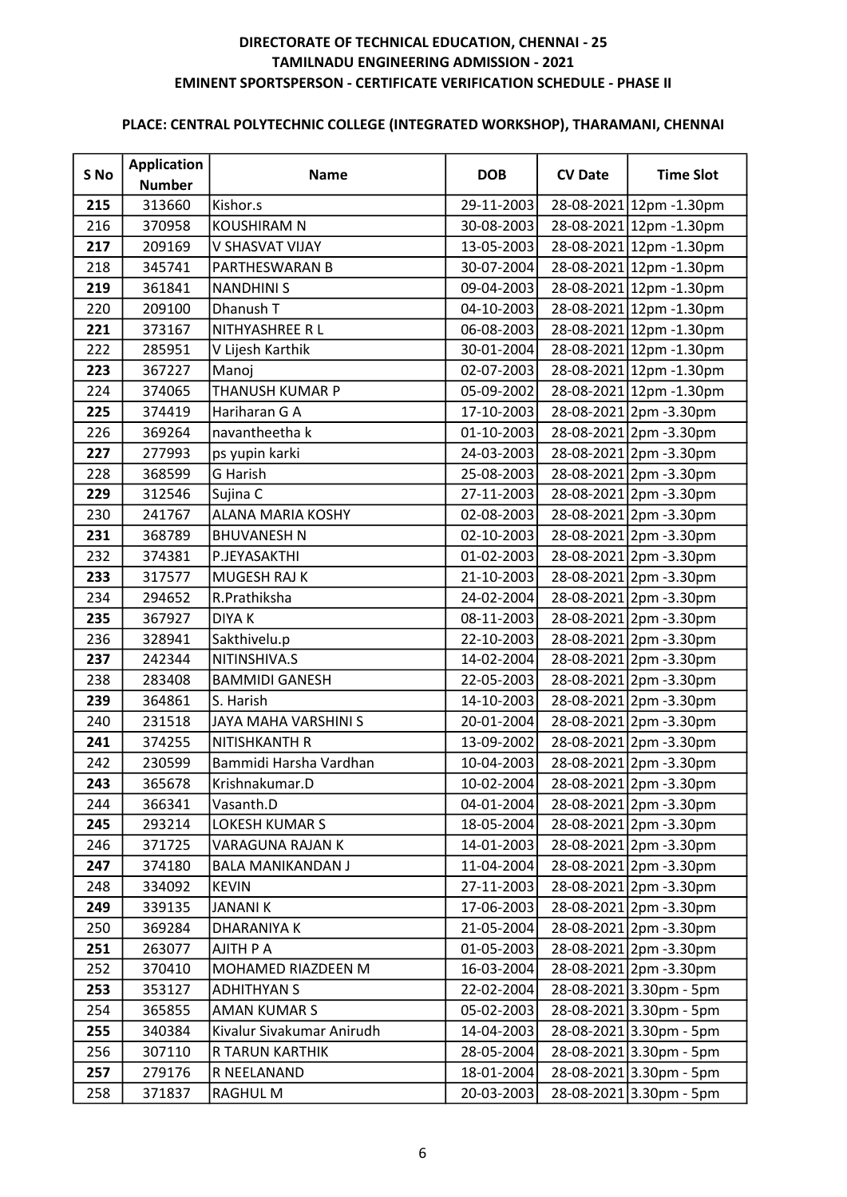| S No | <b>Application</b><br><b>Number</b> | <b>Name</b>               | <b>DOB</b>       | <b>CV Date</b> | <b>Time Slot</b>         |
|------|-------------------------------------|---------------------------|------------------|----------------|--------------------------|
| 215  | 313660                              | Kishor.s                  | 29-11-2003       |                | 28-08-2021 12pm - 1.30pm |
| 216  | 370958                              | <b>KOUSHIRAM N</b>        | 30-08-2003       |                | 28-08-2021 12pm -1.30pm  |
| 217  | 209169                              | V SHASVAT VIJAY           | 13-05-2003       |                | 28-08-2021 12pm -1.30pm  |
| 218  | 345741                              | PARTHESWARAN B            | 30-07-2004       |                | 28-08-2021 12pm - 1.30pm |
| 219  | 361841                              | <b>NANDHINIS</b>          | 09-04-2003       |                | 28-08-2021 12pm - 1.30pm |
| 220  | 209100                              | Dhanush T                 | 04-10-2003       |                | 28-08-2021 12pm - 1.30pm |
| 221  | 373167                              | NITHYASHREE R L           | 06-08-2003       |                | 28-08-2021 12pm - 1.30pm |
| 222  | 285951                              | V Lijesh Karthik          | 30-01-2004       |                | 28-08-2021 12pm - 1.30pm |
| 223  | 367227                              | Manoj                     | 02-07-2003       |                | 28-08-2021 12pm - 1.30pm |
| 224  | 374065                              | THANUSH KUMAR P           | 05-09-2002       |                | 28-08-2021 12pm - 1.30pm |
| 225  | 374419                              | Hariharan G A             | 17-10-2003       |                | 28-08-2021 2pm -3.30pm   |
| 226  | 369264                              | navantheetha k            | 01-10-2003       |                | 28-08-2021 2pm -3.30pm   |
| 227  | 277993                              | ps yupin karki            | 24-03-2003       |                | 28-08-2021 2pm -3.30pm   |
| 228  | 368599                              | G Harish                  | 25-08-2003       |                | 28-08-2021 2pm -3.30pm   |
| 229  | 312546                              | Sujina C                  | 27-11-2003       |                | 28-08-2021 2pm -3.30pm   |
| 230  | 241767                              | ALANA MARIA KOSHY         | 02-08-2003       |                | 28-08-2021 2pm -3.30pm   |
| 231  | 368789                              | <b>BHUVANESH N</b>        | 02-10-2003       |                | 28-08-2021 2pm -3.30pm   |
| 232  | 374381                              | P.JEYASAKTHI              | 01-02-2003       |                | 28-08-2021 2pm -3.30pm   |
| 233  | 317577                              | MUGESH RAJ K              | 21-10-2003       |                | 28-08-2021 2pm -3.30pm   |
| 234  | 294652                              | R.Prathiksha              | 24-02-2004       |                | 28-08-2021 2pm -3.30pm   |
| 235  | 367927                              | <b>DIYAK</b>              | 08-11-2003       |                | 28-08-2021 2pm -3.30pm   |
| 236  | 328941                              | Sakthivelu.p              | 22-10-2003       |                | 28-08-2021 2pm -3.30pm   |
| 237  | 242344                              | NITINSHIVA.S              | 14-02-2004       |                | 28-08-2021 2pm -3.30pm   |
| 238  | 283408                              | <b>BAMMIDI GANESH</b>     | 22-05-2003       |                | 28-08-2021 2pm -3.30pm   |
| 239  | 364861                              | S. Harish                 | 14-10-2003       |                | 28-08-2021 2pm -3.30pm   |
| 240  | 231518                              | JAYA MAHA VARSHINI S      | 20-01-2004       |                | 28-08-2021 2pm -3.30pm   |
| 241  | 374255                              | NITISHKANTH R             | 13-09-2002       |                | 28-08-2021 2pm -3.30pm   |
| 242  | 230599                              | Bammidi Harsha Vardhan    | 10-04-2003       |                | 28-08-2021 2pm -3.30pm   |
| 243  | 365678                              | Krishnakumar.D            | 10-02-2004       |                | 28-08-2021 2pm -3.30pm   |
| 244  | 366341                              | Vasanth.D                 | 04-01-2004       |                | 28-08-2021 2pm -3.30pm   |
| 245  | 293214                              | LOKESH KUMAR S            | 18-05-2004       |                | 28-08-2021 2pm -3.30pm   |
| 246  | 371725                              | VARAGUNA RAJAN K          | 14-01-2003       |                | 28-08-2021 2pm -3.30pm   |
| 247  | 374180                              | <b>BALA MANIKANDAN J</b>  | 11-04-2004       |                | 28-08-2021 2pm -3.30pm   |
| 248  | 334092                              | <b>KEVIN</b>              | 27-11-2003       |                | 28-08-2021 2pm -3.30pm   |
| 249  | 339135                              | <b>JANANIK</b>            | 17-06-2003       |                | 28-08-2021 2pm -3.30pm   |
| 250  | 369284                              | <b>DHARANIYA K</b>        | 21-05-2004       |                | 28-08-2021 2pm -3.30pm   |
| 251  | 263077                              | AJITH P A                 | $01 - 05 - 2003$ |                | 28-08-2021 2pm -3.30pm   |
| 252  | 370410                              | MOHAMED RIAZDEEN M        | 16-03-2004       |                | 28-08-2021 2pm -3.30pm   |
| 253  | 353127                              | <b>ADHITHYAN S</b>        | 22-02-2004       |                | 28-08-2021 3.30pm - 5pm  |
| 254  | 365855                              | <b>AMAN KUMAR S</b>       | 05-02-2003       |                | 28-08-2021 3.30pm - 5pm  |
| 255  | 340384                              | Kivalur Sivakumar Anirudh | 14-04-2003       |                | 28-08-2021 3.30pm - 5pm  |
| 256  | 307110                              | R TARUN KARTHIK           | 28-05-2004       |                | 28-08-2021 3.30pm - 5pm  |
| 257  | 279176                              | R NEELANAND               | 18-01-2004       |                | 28-08-2021 3.30pm - 5pm  |
| 258  | 371837                              | <b>RAGHUL M</b>           | 20-03-2003       |                | 28-08-2021 3.30pm - 5pm  |